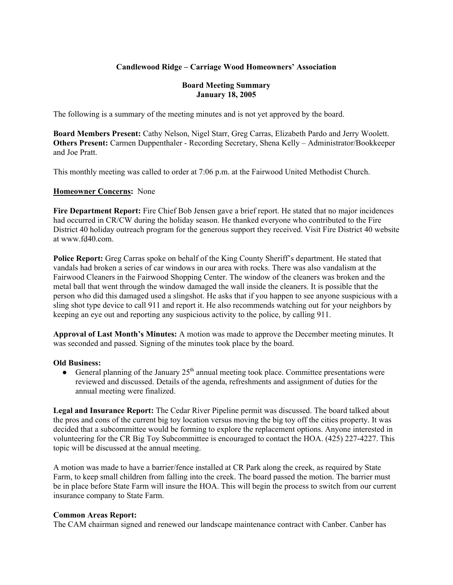### **Candlewood Ridge – Carriage Wood Homeowners' Association**

#### **Board Meeting Summary January 18, 2005**

The following is a summary of the meeting minutes and is not yet approved by the board.

**Board Members Present:** Cathy Nelson, Nigel Starr, Greg Carras, Elizabeth Pardo and Jerry Woolett. **Others Present:** Carmen Duppenthaler - Recording Secretary, Shena Kelly – Administrator/Bookkeeper and Joe Pratt.

This monthly meeting was called to order at 7:06 p.m. at the Fairwood United Methodist Church.

#### **Homeowner Concerns:** None

**Fire Department Report:** Fire Chief Bob Jensen gave a brief report. He stated that no major incidences had occurred in CR/CW during the holiday season. He thanked everyone who contributed to the Fire District 40 holiday outreach program for the generous support they received. Visit Fire District 40 website at www.fd40.com.

**Police Report:** Greg Carras spoke on behalf of the King County Sheriff's department. He stated that vandals had broken a series of car windows in our area with rocks. There was also vandalism at the Fairwood Cleaners in the Fairwood Shopping Center. The window of the cleaners was broken and the metal ball that went through the window damaged the wall inside the cleaners. It is possible that the person who did this damaged used a slingshot. He asks that if you happen to see anyone suspicious with a sling shot type device to call 911 and report it. He also recommends watching out for your neighbors by keeping an eye out and reporting any suspicious activity to the police, by calling 911.

**Approval of Last Month's Minutes:** A motion was made to approve the December meeting minutes. It was seconded and passed. Signing of the minutes took place by the board.

#### **Old Business:**

• General planning of the January  $25<sup>th</sup>$  annual meeting took place. Committee presentations were reviewed and discussed. Details of the agenda, refreshments and assignment of duties for the annual meeting were finalized.

**Legal and Insurance Report:** The Cedar River Pipeline permit was discussed. The board talked about the pros and cons of the current big toy location versus moving the big toy off the cities property. It was decided that a subcommittee would be forming to explore the replacement options. Anyone interested in volunteering for the CR Big Toy Subcommittee is encouraged to contact the HOA. (425) 227-4227. This topic will be discussed at the annual meeting.

A motion was made to have a barrier/fence installed at CR Park along the creek, as required by State Farm, to keep small children from falling into the creek. The board passed the motion. The barrier must be in place before State Farm will insure the HOA. This will begin the process to switch from our current insurance company to State Farm.

#### **Common Areas Report:**

The CAM chairman signed and renewed our landscape maintenance contract with Canber. Canber has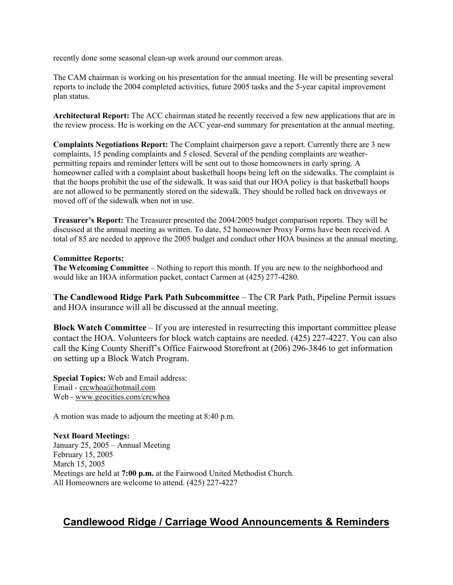recently done some seasonal clean-up work around our common areas.

The CAM chairman is working on his presentation for the annual meeting. He will be presenting several reports to include the 2004 completed activities, future 2005 tasks and the 5-year capital improvement plan status.

**Architectural Report:** The ACC chairman stated he recently received a few new applications that are in the review process. He is working on the ACC year-end summary for presentation at the annual meeting.

**Complaints Negotiations Report:** The Complaint chairperson gave a report. Currently there are 3 new complaints, 15 pending complaints and 5 closed. Several of the pending complaints are weatherpermitting repairs and reminder letters will be sent out to those homeowners in early spring. A homeowner called with a complaint about basketball hoops being left on the sidewalks. The complaint is that the hoops prohibit the use of the sidewalk. It was said that our HOA policy is that basketball hoops are not allowed to be permanently stored on the sidewalk. They should be rolled back on driveways or moved off of the sidewalk when not in use.

**Treasurer's Report:** The Treasurer presented the 2004/2005 budget comparison reports. They will be discussed at the annual meeting as written. To date, 52 homeowner Proxy Forms have been received. A total of 85 are needed to approve the 2005 budget and conduct other HOA business at the annual meeting.

#### **Committee Reports:**

**The Welcoming Committee** – Nothing to report this month. If you are new to the neighborhood and would like an HOA information packet, contact Carmen at (425) 277-4280.

**The Candlewood Ridge Park Path Subcommittee** – The CR Park Path, Pipeline Permit issues and HOA insurance will all be discussed at the annual meeting.

**Block Watch Committee** – If you are interested in resurrecting this important committee please contact the HOA. Volunteers for block watch captains are needed. (425) 227-4227. You can also call the King County Sheriff's Office Fairwood Storefront at (206) 296-3846 to get information on setting up a Block Watch Program.

**Special Topics:** Web and Email address: Email - crcwhoa@hotmail.com Web - www.geocities.com/crcwhoa

A motion was made to adjourn the meeting at 8:40 p.m.

**Next Board Meetings:** January 25, 2005 – Annual Meeting February 15, 2005 March 15, 2005 Meetings are held at **7:00 p.m.** at the Fairwood United Methodist Church. All Homeowners are welcome to attend. (425) 227-4227

# **Candlewood Ridge / Carriage Wood Announcements & Reminders**